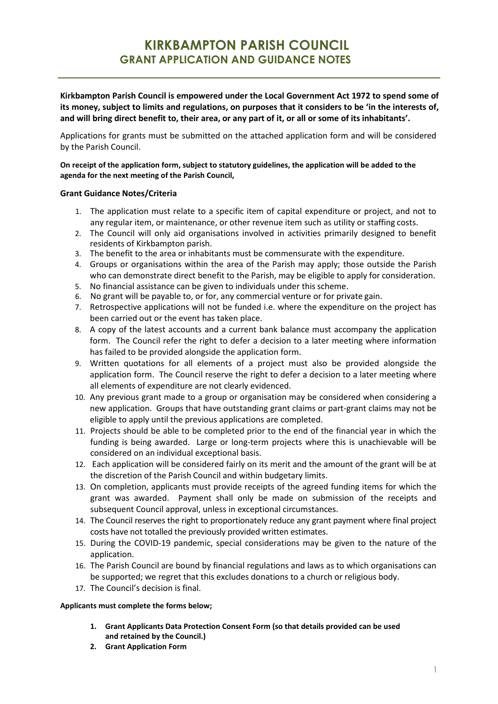**Kirkbampton Parish Council is empowered under the Local Government Act 1972 to spend some of its money, subject to limits and regulations, on purposes that it considers to be 'in the interests of, and will bring direct benefit to, their area, or any part of it, or all or some of its inhabitants'.**

Applications for grants must be submitted on the attached application form and will be considered by the Parish Council.

**On receipt of the application form, subject to statutory guidelines, the application will be added to the agenda for the next meeting of the Parish Council,**

### **Grant Guidance Notes/Criteria**

- 1. The application must relate to a specific item of capital expenditure or project, and not to any regular item, or maintenance, or other revenue item such as utility or staffing costs.
- 2. The Council will only aid organisations involved in activities primarily designed to benefit residents of Kirkbampton parish.
- 3. The benefit to the area or inhabitants must be commensurate with the expenditure.
- 4. Groups or organisations within the area of the Parish may apply; those outside the Parish who can demonstrate direct benefit to the Parish, may be eligible to apply for consideration.
- 5. No financial assistance can be given to individuals under thisscheme.
- 6. No grant will be payable to, or for, any commercial venture or for private gain.
- 7. Retrospective applications will not be funded i.e. where the expenditure on the project has been carried out or the event has taken place.
- 8. A copy of the latest accounts and a current bank balance must accompany the application form. The Council refer the right to defer a decision to a later meeting where information has failed to be provided alongside the application form.
- 9. Written quotations for all elements of a project must also be provided alongside the application form. The Council reserve the right to defer a decision to a later meeting where all elements of expenditure are not clearly evidenced.
- 10. Any previous grant made to a group or organisation may be considered when considering a new application. Groups that have outstanding grant claims or part-grant claims may not be eligible to apply until the previous applications are completed.
- 11. Projects should be able to be completed prior to the end of the financial year in which the funding is being awarded. Large or long-term projects where this is unachievable will be considered on an individual exceptional basis.
- 12. Each application will be considered fairly on its merit and the amount of the grant will be at the discretion of the Parish Council and within budgetary limits.
- 13. On completion, applicants must provide receipts of the agreed funding items for which the grant was awarded. Payment shall only be made on submission of the receipts and subsequent Council approval, unless in exceptional circumstances.
- 14. The Council reserves the right to proportionately reduce any grant payment where final project costs have not totalled the previously provided written estimates.
- 15. During the COVID-19 pandemic, special considerations may be given to the nature of the application.
- 16. The Parish Council are bound by financial regulations and laws as to which organisations can be supported; we regret that this excludes donations to a church or religious body.
- 17. The Council's decision is final.

### **Applicants must complete the forms below;**

- **1. Grant Applicants Data Protection Consent Form (so that details provided can be used and retained by the Council.)**
- **2. Grant Application Form**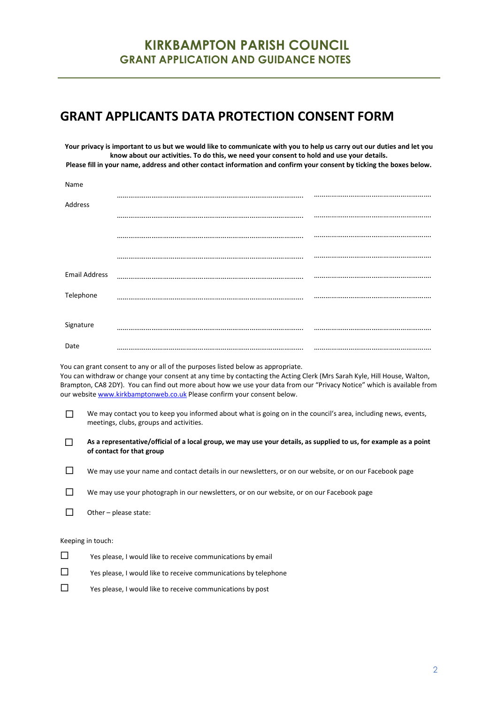### **KIRKBAMPTON PARISH COUNCIL GRANT APPLICATION AND GUIDANCE NOTES**

# **GRANT APPLICANTS DATA PROTECTION CONSENT FORM**

**Your privacy is important to us but we would like to communicate with you to help us carry out our duties and let you know about our activities. To do this, we need your consent to hold and use your details. Please fill in your name, address and other contact information and confirm your consent by ticking the boxes below.**

| Name                 |  |
|----------------------|--|
|                      |  |
| Address              |  |
|                      |  |
|                      |  |
|                      |  |
|                      |  |
|                      |  |
| <b>Email Address</b> |  |
| Telephone            |  |
|                      |  |
|                      |  |
| Signature            |  |
|                      |  |
| Date                 |  |

You can grant consent to any or all of the purposes listed below as appropriate. You can withdraw or change your consent at any time by contacting the Acting Clerk (Mrs Sarah Kyle, Hill House, Walton, Brampton, CA8 2DY). You can find out more about how we use your data from our "Privacy Notice" which is available from our website [www.kirkbamptonweb.co.uk](http://www.kirkbamptonweb.co.uk/) Please confirm your consent below.

- We may contact you to keep you informed about what is going on in the council's area, including news, events, meetings, clubs, groups and activities.
- **As a representative/official of a local group, we may use your details, as supplied to us, for example as a point of contact for that group**

|  | We may use your name and contact details in our newsletters, or on our website, or on our Facebook page |  |  |  |
|--|---------------------------------------------------------------------------------------------------------|--|--|--|
|--|---------------------------------------------------------------------------------------------------------|--|--|--|

|  | We may use your photograph in our newsletters, or on our website, or on our Facebook page |
|--|-------------------------------------------------------------------------------------------|
|--|-------------------------------------------------------------------------------------------|

 $\Box$  Other – please state:

#### Keeping in touch:

| □ | Yes please, I would like to receive communications by email     |
|---|-----------------------------------------------------------------|
| □ | Yes please, I would like to receive communications by telephone |
| П | Yes please, I would like to receive communications by post      |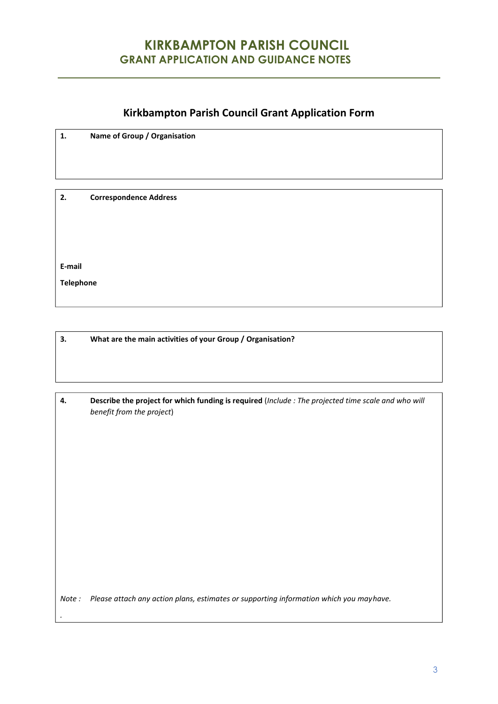# **KIRKBAMPTON PARISH COUNCIL GRANT APPLICATION AND GUIDANCE NOTES**

### **Kirkbampton Parish Council Grant Application Form**

**1. Name of Group / Organisation**

**2. Correspondence Address**

**E-mail**

*.*

**Telephone**

**3. What are the main activities of your Group / Organisation?**

| Describe the project for which funding is required (Include: The projected time scale and who will |
|----------------------------------------------------------------------------------------------------|
| benefit from the project)                                                                          |

*Note : Please attach any action plans, estimates or supporting information which you mayhave.*